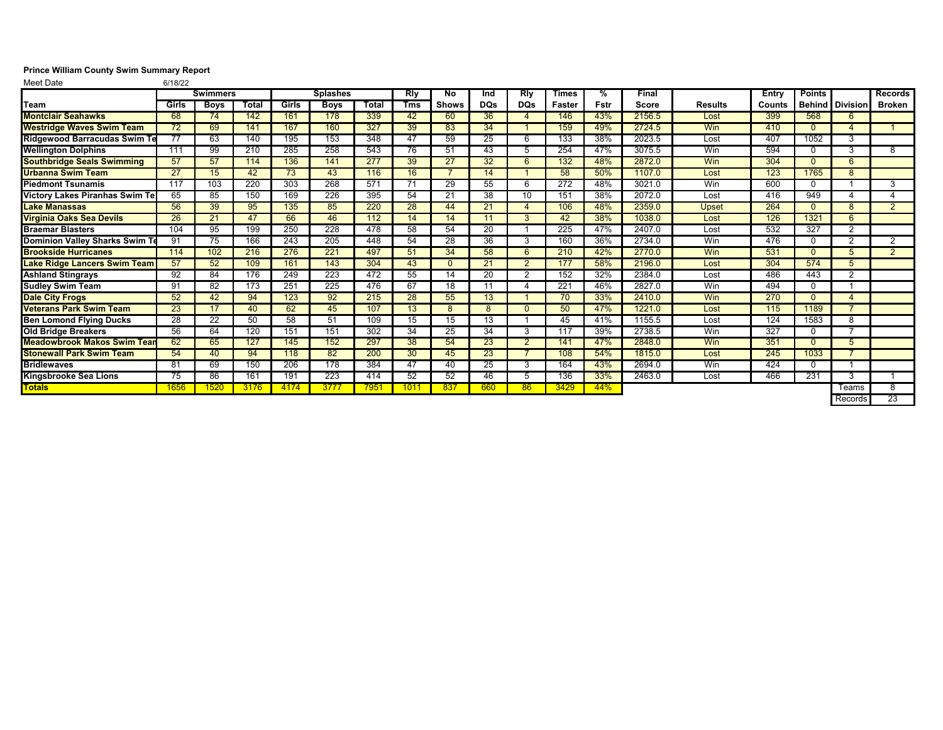## **Prince William County Swim Summary Report**<br>Meet Date 6/18/22

Meet Date

|                                       | <b>Swimmers</b> |             |       | <b>Splashes</b> |             |       | Rly        | No           | Ind             | Rly            | <b>Times</b> | %    | <b>Final</b> |                | Entry  | <b>Points</b> |                        | <b>Records</b> |
|---------------------------------------|-----------------|-------------|-------|-----------------|-------------|-------|------------|--------------|-----------------|----------------|--------------|------|--------------|----------------|--------|---------------|------------------------|----------------|
| Team                                  | Girls           | <b>Boys</b> | Total | Girls           | <b>Boys</b> | Total | <b>Tms</b> | <b>Shows</b> | <b>DQs</b>      | <b>DQs</b>     | Faster       | Fstr | Score        | <b>Results</b> | Counts |               | <b>Behind Division</b> | Broken         |
| <b>Montclair Seahawks</b>             | 68              | 74          | 142   | 161             | 178         | 339   | 42         | 60           | 36              | 4              | 146          | 43%  | 2156.5       | Lost           | 399    | 568           | 6                      |                |
| <b>Westridge Waves Swim Team</b>      | 72              | 69          | 141   | 167             | 160         | 327   | 39         | 83           | 34              |                | 159          | 49%  | 2724.5       | Win            | 410    | $\Omega$      |                        |                |
| <b>Ridgewood Barracudas Swim Te</b>   | 77              | 63          | 140   | 195             | 153         | 348   | 47         | 59           | 25              | 6              | 133          | 38%  | 2023.5       | Lost           | 407    | 1052          | 3                      |                |
| <b>Wellington Dolphins</b>            | 111             | 99          | 210   | 285             | 258         | 543   | 76         | 51           | 43              | 5              | 254          | 47%  | 3075.5       | Win            | 594    | 0             | 3                      | 8              |
| <b>Southbridge Seals Swimming</b>     | 57              | 57          | 114   | 136             | 141         | 277   | 39         | 27           | 32              | 6              | 132          | 48%  | 2872.0       | Win            | 304    | $\Omega$      | 6                      |                |
| <b>Urbanna Swim Team</b>              | 27              | 15          | 42    | 73              | 43          | 116   | 16         |              | 14              |                | 58           | 50%  | 1107.0       | Lost           | 123    | 1765          | 8                      |                |
| <b>Piedmont Tsunamis</b>              | 117             | 103         | 220   | 303             | 268         | 571   | 71         | 29           | 55              | 6              | 272          | 48%  | 3021.0       | Win            | 600    | $\Omega$      |                        | 3              |
| <b>Victory Lakes Piranhas Swim Te</b> | 65              | 85          | 150   | 169             | 226         | 395   | 54         | 21           | 38              | 10             | 151          | 38%  | 2072.0       | Lost           | 416    | 949           |                        |                |
| <b>Lake Manassas</b>                  | 56              | 39          | 95    | 135             | 85          | 220   | 28         | 44           | 21              | $\overline{4}$ | 106          | 48%  | 2359.0       | <b>Upset</b>   | 264    | $\Omega$      | 8                      | $\mathbf{2}$   |
| <b>Virginia Oaks Sea Devils</b>       | 26              | 21          | 47    | 66              | 46          | 112   | 14         | 14           | 11              | 3              | 42           | 38%  | 1038.0       | Lost           | 126    | 1321          | 6                      |                |
| <b>Braemar Blasters</b>               | 104             | 95          | 199   | 250             | 228         | 478   | 58         | 54           | 20              |                | 225          | 47%  | 2407.0       | Lost           | 532    | 327           | 2                      |                |
| Dominion Valley Sharks Swim Te        | 91              | 75          | 166   | 243             | 205         | 448   | 54         | 28           | 36              | 3              | 160          | 36%  | 2734.0       | Win            | 476    | $\Omega$      | 2                      | 2              |
| <b>Brookside Hurricanes</b>           | 114             | 102         | 216   | 276             | 221         | 497   | 51         | 34           | 58              | 6              | 210          | 42%  | 2770.0       | Win            | 531    | $\Omega$      | 5                      | 2              |
| <b>Lake Ridge Lancers Swim Team</b>   | 57              | 52          | 109   | 161             | 143         | 304   | 43         | $\Omega$     | 21              | $\overline{2}$ | 177          | 58%  | 2196.0       | Lost           | 304    | 574           | 5                      |                |
| <b>Ashland Stingrays</b>              | 92              | 84          | 176   | 249             | 223         | 472   | 55         | 14           | $\overline{20}$ |                | 152          | 32%  | 2384.0       | Lost           | 486    | 443           | 2                      |                |
| <b>Sudley Swim Team</b>               | 91              | 82          | 173   | 251             | 225         | 476   | 67         | 18           | 11              | 4              | 221          | 46%  | 2827.0       | Win            | 494    | $\Omega$      |                        |                |
| <b>Dale City Frogs</b>                | 52              | 42          | 94    | 123             | 92          | 215   | 28         | 55           | 13              |                | 70           | 33%  | 2410.0       | Win            | 270    | $\Omega$      | Δ                      |                |
| <b>Veterans Park Swim Team</b>        | 23              | 17          | 40    | 62              | 45          | 107   | 13         | 8            | 8               | $\Omega$       | 50           | 47%  | 1221.0       | Lost           | 115    | 1189          |                        |                |
| <b>Ben Lomond Flying Ducks</b>        | 28              | 22          | 50    | 58              | 51          | 109   | 15         | 15           | 13              |                | 45           | 41%  | 1155.5       | Lost           | 124    | 1583          | 8                      |                |
| <b>Old Bridge Breakers</b>            | 56              | 64          | 120   | 151             | 151         | 302   | 34         | 25           | 34              | 3              | 117          | 39%  | 2738.5       | Win            | 327    | $\Omega$      |                        |                |
| <b>Meadowbrook Makos Swim Tean</b>    | 62              | 65          | 127   | 145             | 152         | 297   | 38         | 54           | 23              | $\overline{2}$ | 141          | 47%  | 2848.0       | Win            | 351    | $\Omega$      | 5                      |                |
| <b>Stonewall Park Swim Team</b>       | 54              | 40          | 94    | 118             | 82          | 200   | 30         | 45           | 23              |                | 108          | 54%  | 1815.0       | Lost           | 245    | 1033          |                        |                |
| <b>Bridlewaves</b>                    | 81              | 69          | 150   | 206             | 178         | 384   | 47         | 40           | 25              | 3              | 164          | 43%  | 2694.0       | Win            | 424    | $\Omega$      |                        |                |
| <b>Kingsbrooke Sea Lions</b>          | 75              | 86          | 161   | 191             | 223         | 414   | 52         | 52           | 46              | 5              | 136          | 33%  | 2463.0       | Lost           | 466    | 231           | 3                      |                |
| <b>Totals</b>                         | 1656            | 1520        | 3176  | 4174            | 3777        | 7951  | 1011       | 837          | 660             | 86             | 3429         | 44%  |              |                |        |               | Teams                  | 8              |
|                                       |                 |             |       |                 |             |       |            |              |                 |                |              |      |              |                |        |               | Records                | 23             |